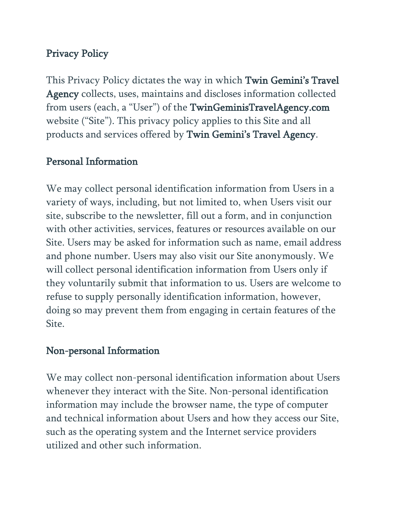# Privacy Policy

This Privacy Policy dictates the way in which Twin Gemini's Travel Agency collects, uses, maintains and discloses information collected from users (each, a "User") of the TwinGeminisTravelAgency.com website ("Site"). This privacy policy applies to this Site and all products and services offered by Twin Gemini's Travel Agency.

#### Personal Information

We may collect personal identification information from Users in a variety of ways, including, but not limited to, when Users visit our site, subscribe to the newsletter, fill out a form, and in conjunction with other activities, services, features or resources available on our Site. Users may be asked for information such as name, email address and phone number. Users may also visit our Site anonymously. We will collect personal identification information from Users only if they voluntarily submit that information to us. Users are welcome to refuse to supply personally identification information, however, doing so may prevent them from engaging in certain features of the Site.

### Non-personal Information

We may collect non-personal identification information about Users whenever they interact with the Site. Non-personal identification information may include the browser name, the type of computer and technical information about Users and how they access our Site, such as the operating system and the Internet service providers utilized and other such information.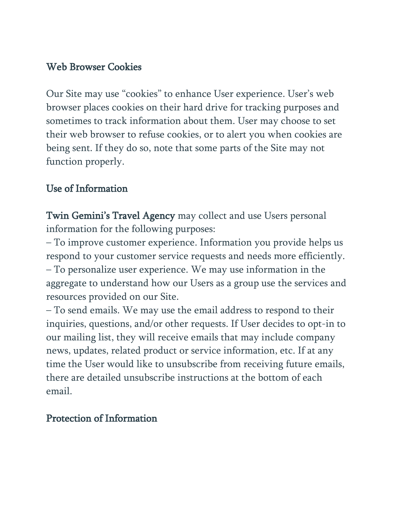### Web Browser Cookies

Our Site may use "cookies" to enhance User experience. User's web browser places cookies on their hard drive for tracking purposes and sometimes to track information about them. User may choose to set their web browser to refuse cookies, or to alert you when cookies are being sent. If they do so, note that some parts of the Site may not function properly.

# Use of Information

Twin Gemini's Travel Agency may collect and use Users personal information for the following purposes:

– To improve customer experience. Information you provide helps us respond to your customer service requests and needs more efficiently. – To personalize user experience. We may use information in the aggregate to understand how our Users as a group use the services and resources provided on our Site.

– To send emails. We may use the email address to respond to their inquiries, questions, and/or other requests. If User decides to opt-in to our mailing list, they will receive emails that may include company news, updates, related product or service information, etc. If at any time the User would like to unsubscribe from receiving future emails, there are detailed unsubscribe instructions at the bottom of each email.

### Protection of Information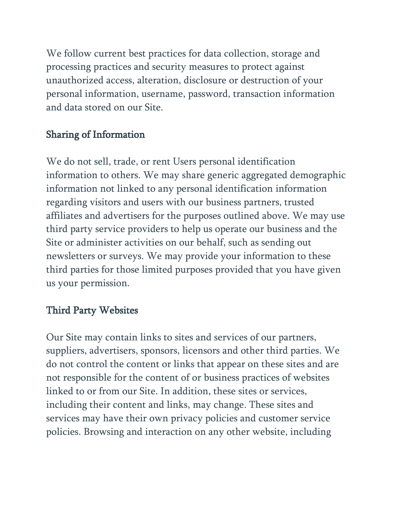We follow current best practices for data collection, storage and processing practices and security measures to protect against unauthorized access, alteration, disclosure or destruction of your personal information, username, password, transaction information and data stored on our Site.

### Sharing of Information

We do not sell, trade, or rent Users personal identification information to others. We may share generic aggregated demographic information not linked to any personal identification information regarding visitors and users with our business partners, trusted affiliates and advertisers for the purposes outlined above. We may use third party service providers to help us operate our business and the Site or administer activities on our behalf, such as sending out newsletters or surveys. We may provide your information to these third parties for those limited purposes provided that you have given us your permission.

#### Third Party Websites

Our Site may contain links to sites and services of our partners, suppliers, advertisers, sponsors, licensors and other third parties. We do not control the content or links that appear on these sites and are not responsible for the content of or business practices of websites linked to or from our Site. In addition, these sites or services, including their content and links, may change. These sites and services may have their own privacy policies and customer service policies. Browsing and interaction on any other website, including